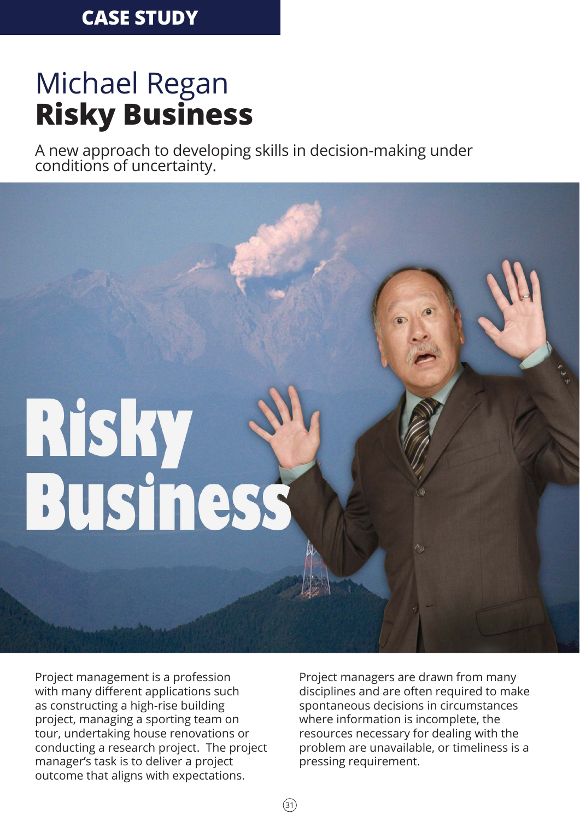# Michael Regan **Risky Business**

A new approach to developing skills in decision-making under conditions of uncertainty.

# Risky<br>Business

Project management is a profession with many different applications such as constructing a high-rise building project, managing a sporting team on tour, undertaking house renovations or conducting a research project. The project manager's task is to deliver a project outcome that aligns with expectations.

Project managers are drawn from many disciplines and are often required to make spontaneous decisions in circumstances where information is incomplete, the resources necessary for dealing with the problem are unavailable, or timeliness is a pressing requirement.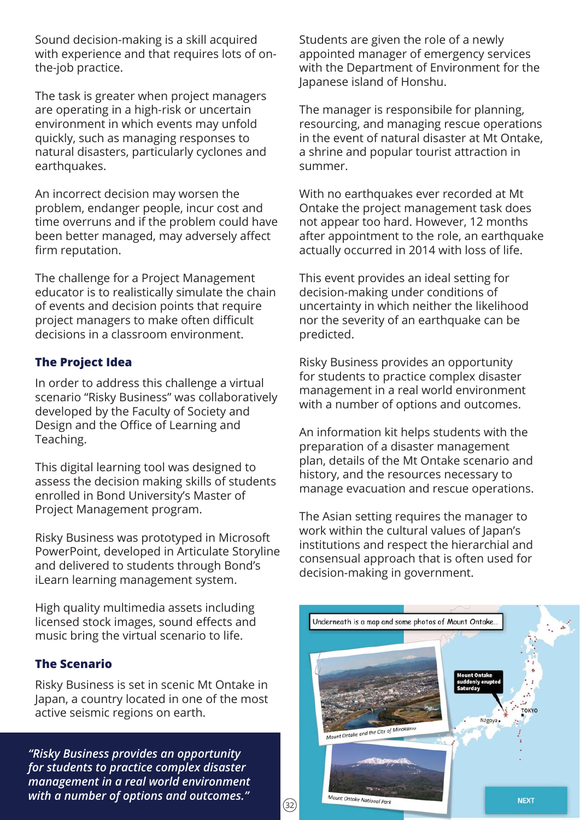Sound decision-making is a skill acquired with experience and that requires lots of onthe-job practice.

The task is greater when project managers are operating in a high-risk or uncertain environment in which events may unfold quickly, such as managing responses to natural disasters, particularly cyclones and earthquakes.

An incorrect decision may worsen the problem, endanger people, incur cost and time overruns and if the problem could have been better managed, may adversely affect firm reputation.

The challenge for a Project Management educator is to realistically simulate the chain of events and decision points that require project managers to make often difficult decisions in a classroom environment.

### **The Project Idea**

In order to address this challenge a virtual scenario "Risky Business" was collaboratively developed by the Faculty of Society and Design and the Office of Learning and Teaching.

This digital learning tool was designed to assess the decision making skills of students enrolled in Bond University's Master of Project Management program.

Risky Business was prototyped in Microsoft PowerPoint, developed in Articulate Storyline and delivered to students through Bond's iLearn learning management system.

High quality multimedia assets including licensed stock images, sound effects and music bring the virtual scenario to life.

### **The Scenario**

Risky Business is set in scenic Mt Ontake in Japan, a country located in one of the most active seismic regions on earth.

*"Risky Business provides an opportunity for students to practice complex disaster management in a real world environment with a number of options and outcomes."*  $\qquad \qquad \boxed{32}$ 

Students are given the role of a newly appointed manager of emergency services with the Department of Environment for the Japanese island of Honshu.

The manager is responsibile for planning, resourcing, and managing rescue operations in the event of natural disaster at Mt Ontake, a shrine and popular tourist attraction in summer.

With no earthquakes ever recorded at Mt Ontake the project management task does not appear too hard. However, 12 months after appointment to the role, an earthquake actually occurred in 2014 with loss of life.

This event provides an ideal setting for decision-making under conditions of uncertainty in which neither the likelihood nor the severity of an earthquake can be predicted.

Risky Business provides an opportunity for students to practice complex disaster management in a real world environment with a number of options and outcomes.

An information kit helps students with the preparation of a disaster management plan, details of the Mt Ontake scenario and history, and the resources necessary to manage evacuation and rescue operations.

The Asian setting requires the manager to work within the cultural values of Japan's institutions and respect the hierarchial and consensual approach that is often used for decision-making in government.